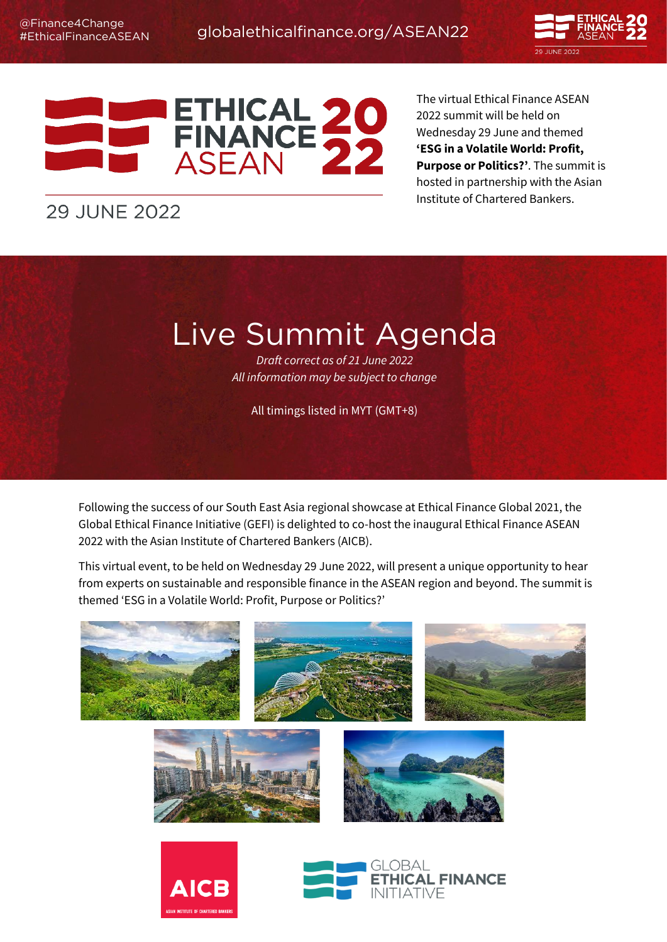



The virtual Ethical Finance ASEAN 2022 summit will be held on Wednesday 29 June and themed **'ESG in a Volatile World: Profit, Purpose or Politics?'**. The summit is hosted in partnership with the Asian Institute of Chartered Bankers.

# **29 JUNE 2022**

Live Summit Agenda *Draft correct as of 21 June 2022 All information may be subject to change*

All timings listed in MYT (GMT+8)

Following the success of our South East Asia regional showcase at Ethical Finance Global 2021, the Global Ethical Finance Initiative (GEFI) is delighted to co-host the inaugural Ethical Finance ASEAN 2022 with the Asian Institute of Chartered Bankers (AICB).

This virtual event, to be held on Wednesday 29 June 2022, will present a unique opportunity to hear from experts on sustainable and responsible finance in the ASEAN region and beyond. The summit is themed 'ESG in a Volatile World: Profit, Purpose or Politics?'

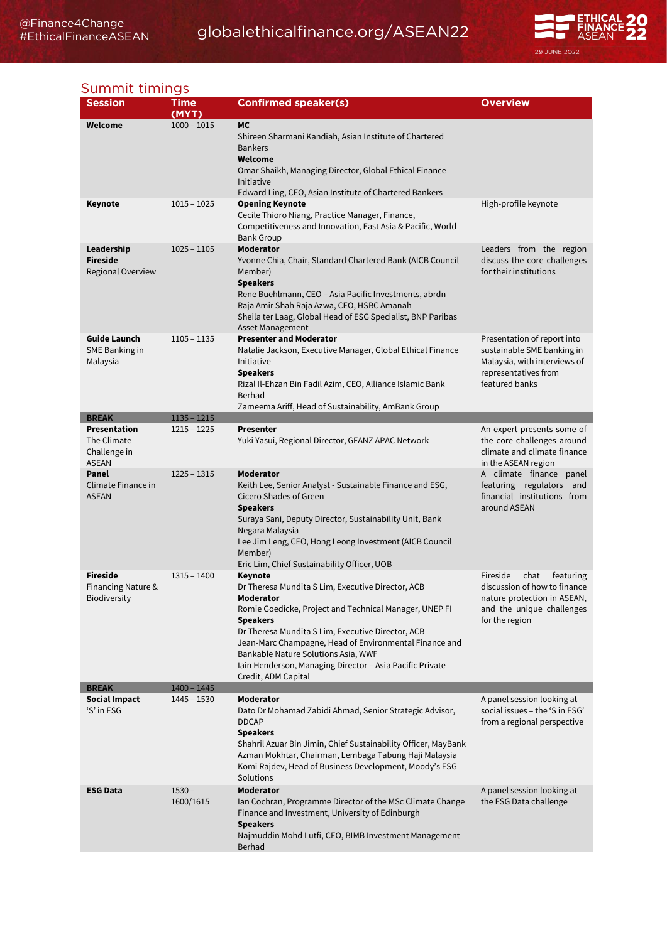# [globalethicalfinance.org/ASEAN22](https://ethicalfinancesummit.com/)



### Summit timings

| <b>Session</b>                                              | Time<br>(MYT)                  | <b>Confirmed speaker(s)</b>                                                                                                                                                                                                                                                                                                                                                                     | <b>Overview</b>                                                                                                                             |
|-------------------------------------------------------------|--------------------------------|-------------------------------------------------------------------------------------------------------------------------------------------------------------------------------------------------------------------------------------------------------------------------------------------------------------------------------------------------------------------------------------------------|---------------------------------------------------------------------------------------------------------------------------------------------|
| Welcome                                                     | $1000 - 1015$                  | <b>MC</b><br>Shireen Sharmani Kandiah, Asian Institute of Chartered<br><b>Bankers</b><br>Welcome<br>Omar Shaikh, Managing Director, Global Ethical Finance<br>Initiative<br>Edward Ling, CEO, Asian Institute of Chartered Bankers                                                                                                                                                              |                                                                                                                                             |
| Keynote                                                     | $1015 - 1025$                  | <b>Opening Keynote</b><br>Cecile Thioro Niang, Practice Manager, Finance,<br>Competitiveness and Innovation, East Asia & Pacific, World<br><b>Bank Group</b>                                                                                                                                                                                                                                    | High-profile keynote                                                                                                                        |
| Leadership<br><b>Fireside</b><br>Regional Overview          | $1025 - 1105$                  | <b>Moderator</b><br>Yvonne Chia, Chair, Standard Chartered Bank (AICB Council<br>Member)<br><b>Speakers</b><br>Rene Buehlmann, CEO - Asia Pacific Investments, abrdn<br>Raja Amir Shah Raja Azwa, CEO, HSBC Amanah<br>Sheila ter Laag, Global Head of ESG Specialist, BNP Paribas<br><b>Asset Management</b>                                                                                    | Leaders from the region<br>discuss the core challenges<br>for their institutions                                                            |
| Guide Launch<br><b>SME Banking in</b><br>Malaysia           | $1105 - 1135$                  | <b>Presenter and Moderator</b><br>Natalie Jackson, Executive Manager, Global Ethical Finance<br>Initiative<br><b>Speakers</b><br>Rizal Il-Ehzan Bin Fadil Azim, CEO, Alliance Islamic Bank<br>Berhad<br>Zameema Ariff, Head of Sustainability, AmBank Group                                                                                                                                     | Presentation of report into<br>sustainable SME banking in<br>Malaysia, with interviews of<br>representatives from<br>featured banks         |
| <b>BREAK</b>                                                | $1135 - 1215$                  |                                                                                                                                                                                                                                                                                                                                                                                                 |                                                                                                                                             |
| Presentation<br>The Climate<br>Challenge in<br><b>ASEAN</b> | $1215 - 1225$                  | <b>Presenter</b><br>Yuki Yasui, Regional Director, GFANZ APAC Network                                                                                                                                                                                                                                                                                                                           | An expert presents some of<br>the core challenges around<br>climate and climate finance<br>in the ASEAN region                              |
| Panel<br>Climate Finance in<br><b>ASEAN</b>                 | $1225 - 1315$                  | <b>Moderator</b><br>Keith Lee, Senior Analyst - Sustainable Finance and ESG,<br>Cicero Shades of Green<br><b>Speakers</b><br>Suraya Sani, Deputy Director, Sustainability Unit, Bank<br>Negara Malaysia<br>Lee Jim Leng, CEO, Hong Leong Investment (AICB Council<br>Member)<br>Eric Lim, Chief Sustainability Officer, UOB                                                                     | A climate finance panel<br>featuring regulators and<br>financial institutions from<br>around ASEAN                                          |
| Fireside<br><b>Financing Nature &amp;</b><br>Biodiversity   | $1315 - 1400$                  | Keynote<br>Dr Theresa Mundita S Lim, Executive Director, ACB<br>Moderator<br>Romie Goedicke, Project and Technical Manager, UNEP FI<br><b>Speakers</b><br>Dr Theresa Mundita S Lim, Executive Director, ACB<br>Jean-Marc Champagne, Head of Environmental Finance and<br>Bankable Nature Solutions Asia, WWF<br>Iain Henderson, Managing Director - Asia Pacific Private<br>Credit, ADM Capital | Fireside<br>chat<br>featuring<br>discussion of how to finance<br>nature protection in ASEAN,<br>and the unique challenges<br>for the region |
| <b>BREAK</b><br><b>Social Impact</b>                        | $1400 - 1445$<br>$1445 - 1530$ | <b>Moderator</b>                                                                                                                                                                                                                                                                                                                                                                                | A panel session looking at                                                                                                                  |
| 'S' in ESG                                                  |                                | Dato Dr Mohamad Zabidi Ahmad, Senior Strategic Advisor,<br><b>DDCAP</b><br><b>Speakers</b><br>Shahril Azuar Bin Jimin, Chief Sustainability Officer, MayBank<br>Azman Mokhtar, Chairman, Lembaga Tabung Haji Malaysia<br>Komi Rajdev, Head of Business Development, Moody's ESG<br>Solutions                                                                                                    | social issues – the 'S in ESG'<br>from a regional perspective                                                                               |
| <b>ESG Data</b>                                             | $1530 -$<br>1600/1615          | <b>Moderator</b><br>Ian Cochran, Programme Director of the MSc Climate Change<br>Finance and Investment, University of Edinburgh<br><b>Speakers</b><br>Najmuddin Mohd Lutfi, CEO, BIMB Investment Management<br>Berhad                                                                                                                                                                          | A panel session looking at<br>the ESG Data challenge                                                                                        |